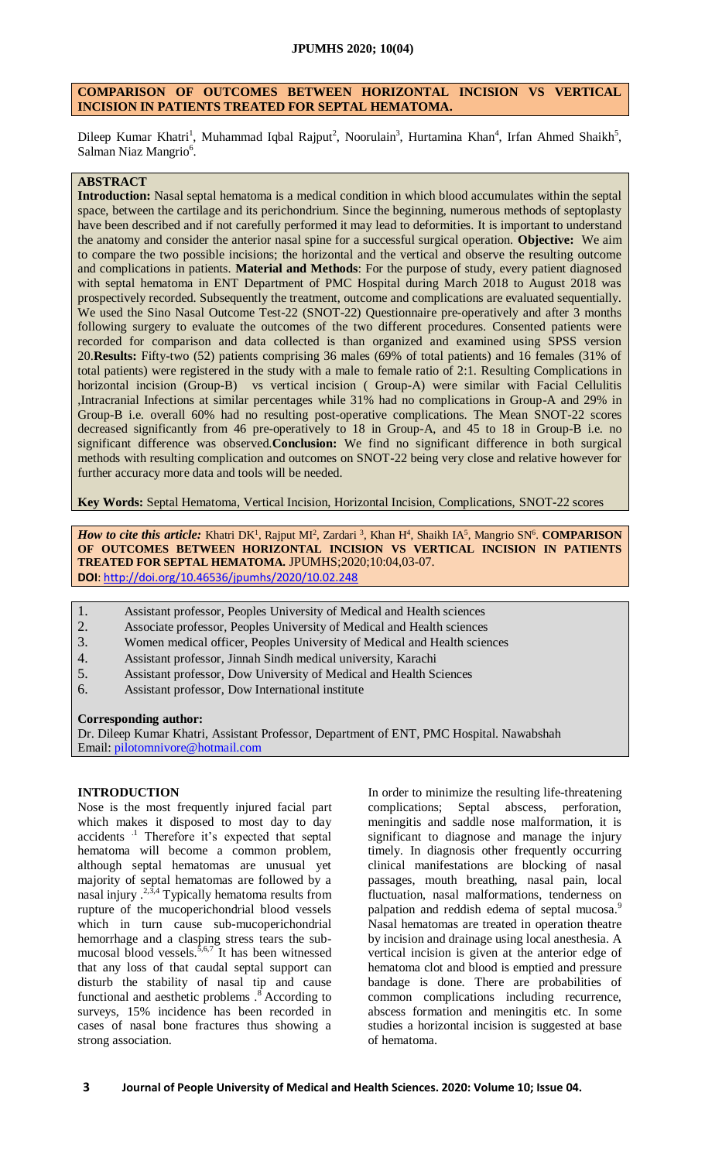# **COMPARISON OF OUTCOMES BETWEEN HORIZONTAL INCISION VS VERTICAL INCISION IN PATIENTS TREATED FOR SEPTAL HEMATOMA.**

Dileep Kumar Khatri<sup>1</sup>, Muhammad Iqbal Rajput<sup>2</sup>, Noorulain<sup>3</sup>, Hurtamina Khan<sup>4</sup>, Irfan Ahmed Shaikh<sup>5</sup>, Salman Niaz Mangrio<sup>6</sup>.

# **ABSTRACT**

**Introduction:** Nasal septal hematoma is a medical condition in which blood accumulates within the septal space, between the cartilage and its perichondrium. Since the beginning, numerous methods of septoplasty have been described and if not carefully performed it may lead to deformities. It is important to understand the anatomy and consider the anterior nasal spine for a successful surgical operation. **Objective:** We aim to compare the two possible incisions; the horizontal and the vertical and observe the resulting outcome and complications in patients. **Material and Methods**: For the purpose of study, every patient diagnosed with septal hematoma in ENT Department of PMC Hospital during March 2018 to August 2018 was prospectively recorded. Subsequently the treatment, outcome and complications are evaluated sequentially. We used the Sino Nasal Outcome Test-22 (SNOT-22) Questionnaire pre-operatively and after 3 months following surgery to evaluate the outcomes of the two different procedures. Consented patients were recorded for comparison and data collected is than organized and examined using SPSS version 20.**Results:** Fifty-two (52) patients comprising 36 males (69% of total patients) and 16 females (31% of total patients) were registered in the study with a male to female ratio of 2:1. Resulting Complications in horizontal incision (Group-B) vs vertical incision ( Group-A) were similar with Facial Cellulitis ,Intracranial Infections at similar percentages while 31% had no complications in Group-A and 29% in Group-B i.e. overall 60% had no resulting post-operative complications. The Mean SNOT-22 scores decreased significantly from 46 pre-operatively to 18 in Group-A, and 45 to 18 in Group-B i.e. no significant difference was observed.**Conclusion:** We find no significant difference in both surgical methods with resulting complication and outcomes on SNOT-22 being very close and relative however for further accuracy more data and tools will be needed.

**Key Words:** Septal Hematoma, Vertical Incision, Horizontal Incision, Complications, SNOT-22 scores

*How to cite this article:* Khatri DK<sup>1</sup>, Rajput MI<sup>2</sup>, Zardari<sup>3</sup>, Khan H<sup>4</sup>, Shaikh IA<sup>5</sup>, Mangrio SN<sup>6</sup>. **COMPARISON OF OUTCOMES BETWEEN HORIZONTAL INCISION VS VERTICAL INCISION IN PATIENTS TREATED FOR SEPTAL HEMATOMA.** JPUMHS;2020;10:04,03-07. **DOI**:<http://doi.org/10.46536/jpumhs/2020/10.02.248>

- 1. Assistant professor, Peoples University of Medical and Health sciences
- 2. Associate professor, Peoples University of Medical and Health sciences
- 3. Women medical officer, Peoples University of Medical and Health sciences
- 4. Assistant professor, Jinnah Sindh medical university, Karachi
- 5. Assistant professor, Dow University of Medical and Health Sciences
- 6. Assistant professor, Dow International institute

#### **Corresponding author:**

Dr. Dileep Kumar Khatri, Assistant Professor, Department of ENT, PMC Hospital. Nawabshah Email: [pilotomnivore@hotmail.com](mailto:pilotomnivore@hotmail.com)

### **INTRODUCTION**

Nose is the most frequently injured facial part which makes it disposed to most day to day accidents .1 Therefore it's expected that septal hematoma will become a common problem, although septal hematomas are unusual yet majority of septal hematomas are followed by a nasal injury .<sup>2,3,4</sup> Typically hematoma results from rupture of the mucoperichondrial blood vessels which in turn cause sub-mucoperichondrial hemorrhage and a clasping stress tears the submucosal blood vessels.<sup>5,6,7</sup> It has been witnessed that any loss of that caudal septal support can disturb the stability of nasal tip and cause functional and aesthetic problems  $.\n$ <sup>8</sup> According to surveys, 15% incidence has been recorded in cases of nasal bone fractures thus showing a strong association.

In order to minimize the resulting life-threatening complications; Septal abscess, perforation, meningitis and saddle nose malformation, it is significant to diagnose and manage the injury timely. In diagnosis other frequently occurring clinical manifestations are blocking of nasal passages, mouth breathing, nasal pain, local fluctuation, nasal malformations, tenderness on palpation and reddish edema of septal mucosa.<sup>9</sup> Nasal hematomas are treated in operation theatre by incision and drainage using local anesthesia. A vertical incision is given at the anterior edge of hematoma clot and blood is emptied and pressure bandage is done. There are probabilities of common complications including recurrence, abscess formation and meningitis etc. In some studies a horizontal incision is suggested at base of hematoma.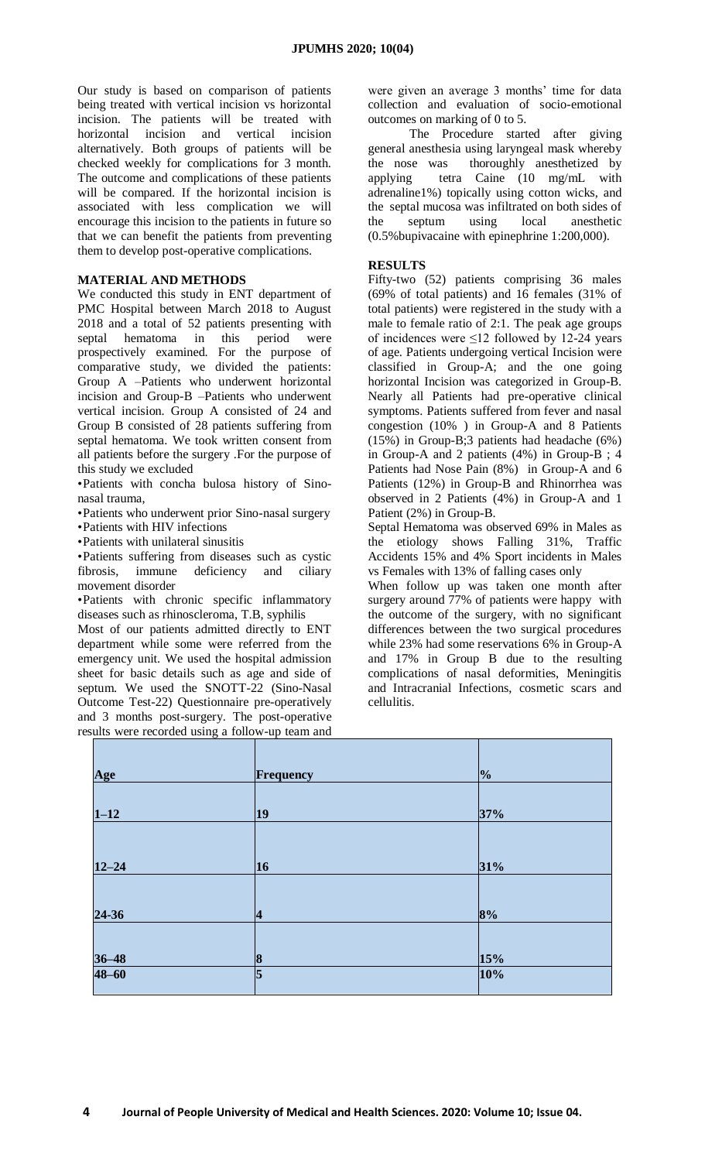Our study is based on comparison of patients being treated with vertical incision vs horizontal incision. The patients will be treated with horizontal incision and vertical incision alternatively. Both groups of patients will be checked weekly for complications for 3 month. The outcome and complications of these patients will be compared. If the horizontal incision is associated with less complication we will encourage this incision to the patients in future so that we can benefit the patients from preventing them to develop post-operative complications.

## **MATERIAL AND METHODS**

We conducted this study in ENT department of PMC Hospital between March 2018 to August 2018 and a total of 52 patients presenting with septal hematoma in this period were prospectively examined. For the purpose of comparative study, we divided the patients: Group A –Patients who underwent horizontal incision and Group-B –Patients who underwent vertical incision. Group A consisted of 24 and Group B consisted of 28 patients suffering from septal hematoma. We took written consent from all patients before the surgery .For the purpose of this study we excluded

•Patients with concha bulosa history of Sinonasal trauma,

•Patients who underwent prior Sino-nasal surgery

•Patients with HIV infections

•Patients with unilateral sinusitis

•Patients suffering from diseases such as cystic fibrosis, immune deficiency and ciliary movement disorder

•Patients with chronic specific inflammatory diseases such as rhinoscleroma, T.B, syphilis

Most of our patients admitted directly to ENT department while some were referred from the emergency unit. We used the hospital admission sheet for basic details such as age and side of septum. We used the SNOTT-22 (Sino-Nasal Outcome Test-22) Questionnaire pre-operatively and 3 months post-surgery. The post-operative results were recorded using a follow-up team and were given an average 3 months' time for data collection and evaluation of socio-emotional outcomes on marking of 0 to 5.

The Procedure started after giving general anesthesia using laryngeal mask whereby the nose was thoroughly anesthetized by applying tetra Caine (10 mg/mL with adrenaline1%) topically using cotton wicks, and the septal mucosa was infiltrated on both sides of the septum using local anesthetic (0.5%bupivacaine with epinephrine 1:200,000).

## **RESULTS**

Fifty-two (52) patients comprising 36 males (69% of total patients) and 16 females (31% of total patients) were registered in the study with a male to female ratio of 2:1. The peak age groups of incidences were ≤12 followed by 12-24 years of age. Patients undergoing vertical Incision were classified in Group-A; and the one going horizontal Incision was categorized in Group-B. Nearly all Patients had pre-operative clinical symptoms. Patients suffered from fever and nasal congestion (10% ) in Group-A and 8 Patients (15%) in Group-B;3 patients had headache (6%) in Group-A and 2 patients (4%) in Group-B ; 4 Patients had Nose Pain (8%) in Group-A and 6 Patients (12%) in Group-B and Rhinorrhea was observed in 2 Patients (4%) in Group-A and 1 Patient (2%) in Group-B.

Septal Hematoma was observed 69% in Males as the etiology shows Falling 31%, Traffic Accidents 15% and 4% Sport incidents in Males vs Females with 13% of falling cases only

When follow up was taken one month after surgery around 77% of patients were happy with the outcome of the surgery, with no significant differences between the two surgical procedures while 23% had some reservations 6% in Group-A and 17% in Group B due to the resulting complications of nasal deformities, Meningitis and Intracranial Infections, cosmetic scars and cellulitis.

| Age                   | Frequency      | $\frac{1}{2}$ |
|-----------------------|----------------|---------------|
|                       |                |               |
| $1 - 12$              | $ 19\rangle$   | 37%           |
|                       |                |               |
| $12 - 24$             | 16             | 31%           |
|                       |                |               |
| 24-36                 | $\vert 4$      | 8%            |
|                       |                |               |
|                       | $\vert 8$      | 15%           |
| $\frac{36-48}{48-60}$ | $\overline{5}$ | 10%           |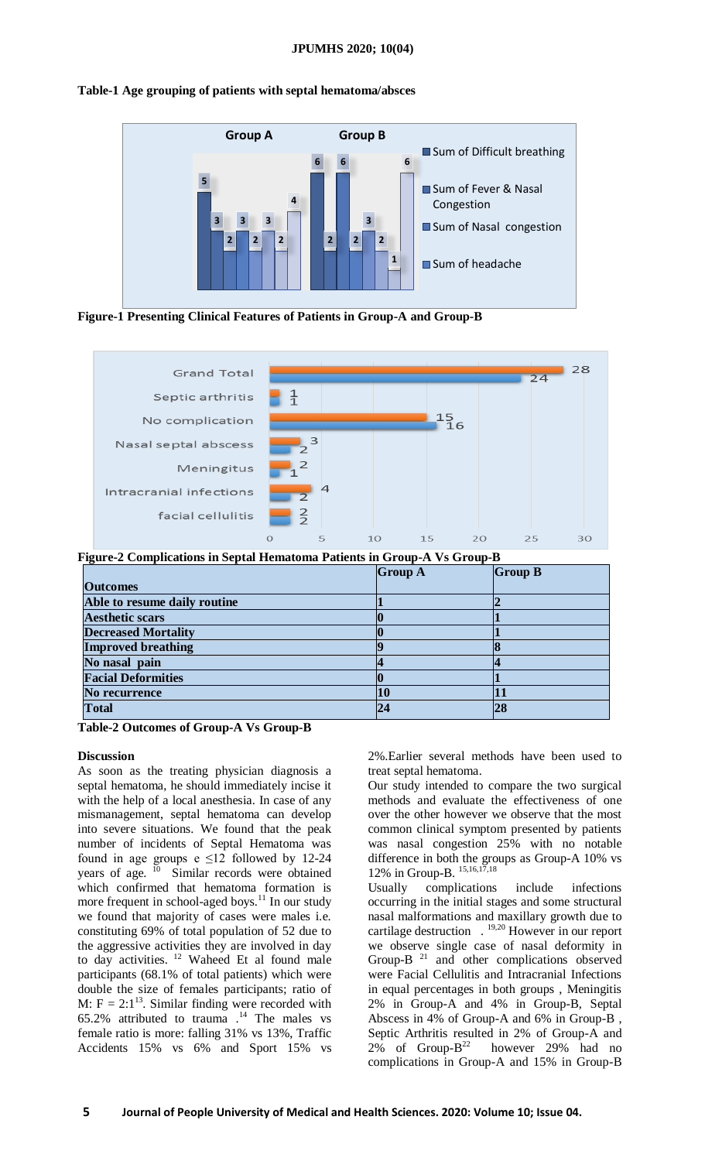### **JPUMHS 2020; 10(04)**

## **Table-1 Age grouping of patients with septal hematoma/absces**



**Figure-1 Presenting Clinical Features of Patients in Group-A and Group-B**



**Figure-2 Complications in Septal Hematoma Patients in Group-A Vs Group-B**

|                              | <b>Group A</b> | <b>Group B</b> |
|------------------------------|----------------|----------------|
| <b>Outcomes</b>              |                |                |
| Able to resume daily routine |                |                |
| <b>Aesthetic scars</b>       |                |                |
| <b>Decreased Mortality</b>   |                |                |
| <b>Improved breathing</b>    |                |                |
| No nasal pain                |                |                |
| <b>Facial Deformities</b>    |                |                |
| No recurrence                |                |                |
| <b>Total</b>                 |                |                |

**Table-2 Outcomes of Group-A Vs Group-B**

#### **Discussion**

As soon as the treating physician diagnosis a septal hematoma, he should immediately incise it with the help of a local anesthesia. In case of any mismanagement, septal hematoma can develop into severe situations. We found that the peak number of incidents of Septal Hematoma was found in age groups e  $\leq 12$  followed by 12-24 years of age.  $\frac{10}{10}$  Similar records were obtained which confirmed that hematoma formation is more frequent in school-aged boys.<sup>11</sup> In our study we found that majority of cases were males i.e. constituting 69% of total population of 52 due to the aggressive activities they are involved in day to day activities.  $12$  Waheed Et al found male participants (68.1% of total patients) which were double the size of females participants; ratio of M:  $F = 2:1^{13}$ . Similar finding were recorded with 65.2% attributed to trauma  $^{14}$ . The males vs female ratio is more: falling 31% vs 13%, Traffic Accidents 15% vs 6% and Sport 15% vs

2%.Earlier several methods have been used to treat septal hematoma.

Our study intended to compare the two surgical methods and evaluate the effectiveness of one over the other however we observe that the most common clinical symptom presented by patients was nasal congestion 25% with no notable difference in both the groups as Group-A 10% vs 12% in Group-B. 15,16,17,18

Usually complications include infections occurring in the initial stages and some structural nasal malformations and maxillary growth due to cartilage destruction . 19,20 However in our report we observe single case of nasal deformity in Group-B<sup>21</sup> and other complications observed were Facial Cellulitis and Intracranial Infections in equal percentages in both groups , Meningitis 2% in Group-A and 4% in Group-B, Septal Abscess in 4% of Group-A and 6% in Group-B , Septic Arthritis resulted in 2% of Group-A and 2% of Group- $B^{22}$ however 29% had no complications in Group-A and 15% in Group-B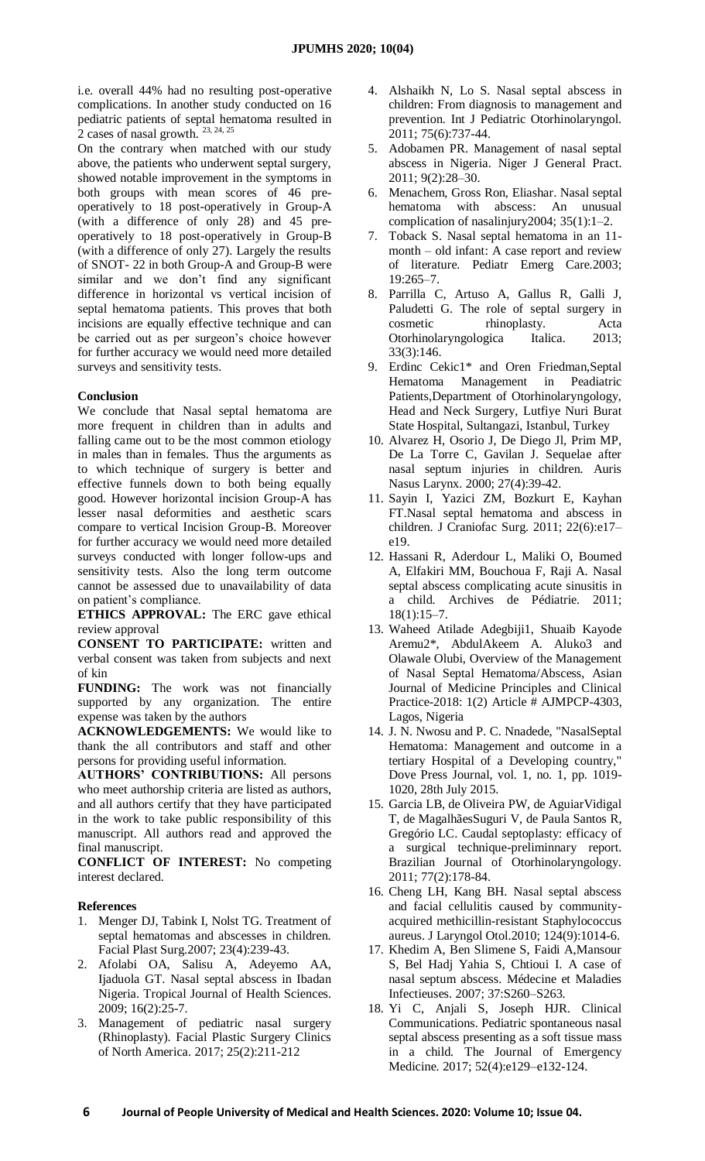i.e. overall 44% had no resulting post-operative complications. In another study conducted on 16 pediatric patients of septal hematoma resulted in 2 cases of nasal growth.  $23, 24, 25$ 

On the contrary when matched with our study above, the patients who underwent septal surgery, showed notable improvement in the symptoms in both groups with mean scores of 46 preoperatively to 18 post-operatively in Group-A (with a difference of only 28) and 45 preoperatively to 18 post-operatively in Group-B (with a difference of only 27). Largely the results of SNOT- 22 in both Group-A and Group-B were similar and we don't find any significant difference in horizontal vs vertical incision of septal hematoma patients. This proves that both incisions are equally effective technique and can be carried out as per surgeon's choice however for further accuracy we would need more detailed surveys and sensitivity tests.

# **Conclusion**

We conclude that Nasal septal hematoma are more frequent in children than in adults and falling came out to be the most common etiology in males than in females. Thus the arguments as to which technique of surgery is better and effective funnels down to both being equally good. However horizontal incision Group-A has lesser nasal deformities and aesthetic scars compare to vertical Incision Group-B. Moreover for further accuracy we would need more detailed surveys conducted with longer follow-ups and sensitivity tests. Also the long term outcome cannot be assessed due to unavailability of data on patient's compliance.

**ETHICS APPROVAL:** The ERC gave ethical review approval

**CONSENT TO PARTICIPATE:** written and verbal consent was taken from subjects and next of kin

**FUNDING:** The work was not financially supported by any organization. The entire expense was taken by the authors

**ACKNOWLEDGEMENTS:** We would like to thank the all contributors and staff and other persons for providing useful information.

**AUTHORS' CONTRIBUTIONS:** All persons who meet authorship criteria are listed as authors, and all authors certify that they have participated in the work to take public responsibility of this manuscript. All authors read and approved the final manuscript.

**CONFLICT OF INTEREST:** No competing interest declared.

## **References**

- 1. Menger DJ, Tabink I, Nolst TG. Treatment of septal hematomas and abscesses in children. Facial Plast Surg.2007; 23(4):239-43.
- 2. Afolabi OA, Salisu A, Adeyemo AA, Ijaduola GT. Nasal septal abscess in Ibadan Nigeria. Tropical Journal of Health Sciences. 2009; 16(2):25-7.
- 3. Management of pediatric nasal surgery (Rhinoplasty). Facial Plastic Surgery Clinics of North America. 2017; 25(2):211-212
- 4. Alshaikh N, Lo S. Nasal septal abscess in children: From diagnosis to management and prevention. Int J Pediatric Otorhinolaryngol. 2011; 75(6):737-44.
- 5. Adobamen PR. Management of nasal septal abscess in Nigeria. Niger J General Pract. 2011; 9(2):28–30.
- 6. Menachem, Gross Ron, Eliashar. Nasal septal hematoma with abscess: An unusual complication of nasalinjury2004; 35(1):1–2.
- 7. Toback S. Nasal septal hematoma in an 11 month – old infant: A case report and review of literature. Pediatr Emerg Care.2003; 19:265–7.
- 8. Parrilla C, Artuso A, Gallus R, Galli J, Paludetti G. The role of septal surgery in cosmetic rhinoplasty. Acta Otorhinolaryngologica Italica. 2013; 33(3):146.
- 9. Erdinc Cekic1\* and Oren Friedman,Septal Hematoma Management in Peadiatric Patients,Department of Otorhinolaryngology, Head and Neck Surgery, Lutfiye Nuri Burat State Hospital, Sultangazi, Istanbul, Turkey
- 10. Alvarez H, Osorio J, De Diego Jl, Prim MP, De La Torre C, Gavilan J. Sequelae after nasal septum injuries in children. Auris Nasus Larynx. 2000; 27(4):39-42.
- 11. Sayin I, Yazici ZM, Bozkurt E, Kayhan FT.Nasal septal hematoma and abscess in children. J Craniofac Surg. 2011; 22(6):e17– e19.
- 12. Hassani R, Aderdour L, Maliki O, Boumed A, Elfakiri MM, Bouchoua F, Raji A. Nasal septal abscess complicating acute sinusitis in a child. Archives de Pédiatrie. 2011; 18(1):15–7.
- 13. Waheed Atilade Adegbiji1, Shuaib Kayode Aremu2\*, AbdulAkeem A. Aluko3 and Olawale Olubi, Overview of the Management of Nasal Septal Hematoma/Abscess, Asian Journal of Medicine Principles and Clinical Practice-2018: 1(2) Article # AJMPCP-4303, Lagos, Nigeria
- 14. J. N. Nwosu and P. C. Nnadede, "NasalSeptal Hematoma: Management and outcome in a tertiary Hospital of a Developing country," Dove Press Journal, vol. 1, no. 1, pp. 1019- 1020, 28th July 2015.
- 15. Garcia LB, de Oliveira PW, de AguiarVidigal T, de MagalhãesSuguri V, de Paula Santos R, Gregório LC. Caudal septoplasty: efficacy of a surgical technique-preliminnary report. Brazilian Journal of Otorhinolaryngology. 2011; 77(2):178-84.
- 16. Cheng LH, Kang BH. Nasal septal abscess and facial cellulitis caused by communityacquired methicillin-resistant Staphylococcus aureus. J Laryngol Otol.2010; 124(9):1014-6.
- 17. Khedim A, Ben Slimene S, Faidi A,Mansour S, Bel Hadj Yahia S, Chtioui I. A case of nasal septum abscess. Médecine et Maladies Infectieuses. 2007; 37:S260–S263.
- 18. Yi C, Anjali S, Joseph HJR. Clinical Communications. Pediatric spontaneous nasal septal abscess presenting as a soft tissue mass in a child. The Journal of Emergency Medicine. 2017; 52(4):e129–e132-124.